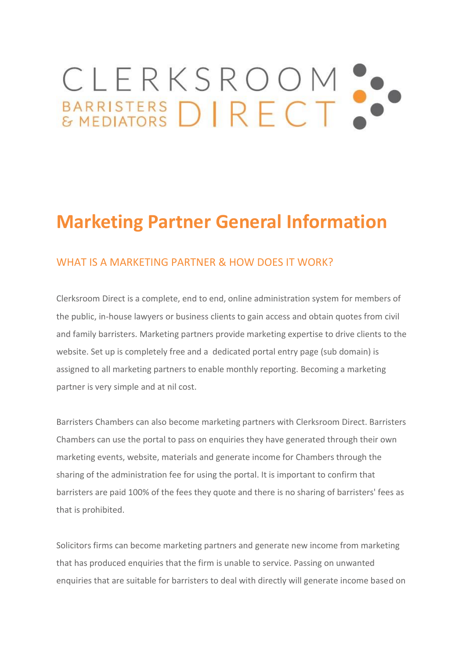# CLERKSROOM ...

# **Marketing Partner General Information**

## WHAT IS A MARKETING PARTNER & HOW DOES IT WORK?

Clerksroom Direct is a complete, end to end, online administration system for members of the public, in-house lawyers or business clients to gain access and obtain quotes from civil and family barristers. Marketing partners provide marketing expertise to drive clients to the website. Set up is completely free and a dedicated portal entry page (sub domain) is assigned to all marketing partners to enable monthly reporting. Becoming a marketing partner is very simple and at nil cost.

Barristers Chambers can also become marketing partners with Clerksroom Direct. Barristers Chambers can use the portal to pass on enquiries they have generated through their own marketing events, website, materials and generate income for Chambers through the sharing of the administration fee for using the portal. It is important to confirm that barristers are paid 100% of the fees they quote and there is no sharing of barristers' fees as that is prohibited.

Solicitors firms can become marketing partners and generate new income from marketing that has produced enquiries that the firm is unable to service. Passing on unwanted enquiries that are suitable for barristers to deal with directly will generate income based on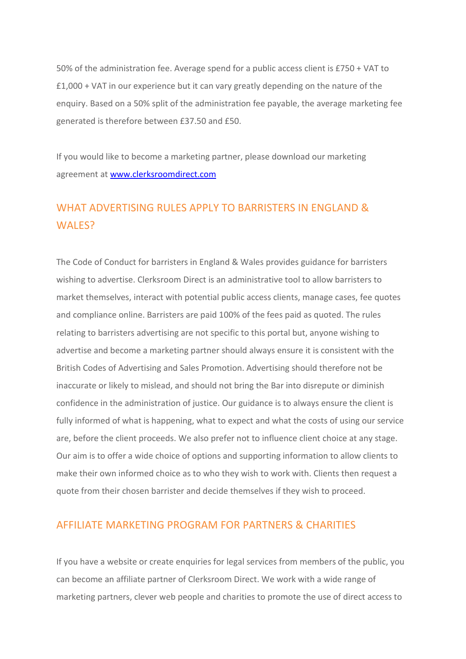50% of the administration fee. Average spend for a public access client is £750 + VAT to £1,000 + VAT in our experience but it can vary greatly depending on the nature of the enquiry. Based on a 50% split of the administration fee payable, the average marketing fee generated is therefore between £37.50 and £50.

If you would like to become a marketing partner, please download our marketing agreement at [www.clerksroomdirect.com](http://www.clerksroomdirect.com/)

# WHAT ADVERTISING RULES APPLY TO BARRISTERS IN ENGLAND & WALES?

The Code of Conduct for barristers in England & Wales provides guidance for barristers wishing to advertise. Clerksroom Direct is an administrative tool to allow barristers to market themselves, interact with potential public access clients, manage cases, fee quotes and compliance online. Barristers are paid 100% of the fees paid as quoted. The rules relating to barristers advertising are not specific to this portal but, anyone wishing to advertise and become a marketing partner should always ensure it is consistent with the British Codes of Advertising and Sales Promotion. Advertising should therefore not be inaccurate or likely to mislead, and should not bring the Bar into disrepute or diminish confidence in the administration of justice. Our guidance is to always ensure the client is fully informed of what is happening, what to expect and what the costs of using our service are, before the client proceeds. We also prefer not to influence client choice at any stage. Our aim is to offer a wide choice of options and supporting information to allow clients to make their own informed choice as to who they wish to work with. Clients then request a quote from their chosen barrister and decide themselves if they wish to proceed.

#### AFFILIATE MARKETING PROGRAM FOR PARTNERS & CHARITIES

If you have a website or create enquiries for legal services from members of the public, you can become an affiliate partner of Clerksroom Direct. We work with a wide range of marketing partners, clever web people and charities to promote the use of direct access to